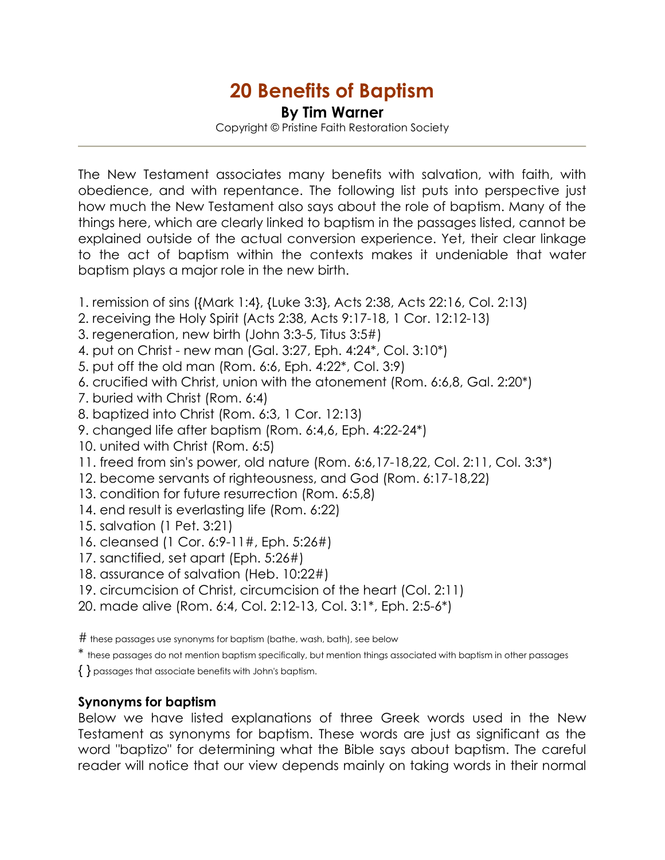## 20 Benefits of Baptism

By Tim Warner

Copyright © Pristine Faith Restoration Society

The New Testament associates many benefits with salvation, with faith, with obedience, and with repentance. The following list puts into perspective just how much the New Testament also says about the role of baptism. Many of the things here, which are clearly linked to baptism in the passages listed, cannot be explained outside of the actual conversion experience. Yet, their clear linkage to the act of baptism within the contexts makes it undeniable that water baptism plays a major role in the new birth.

- 1. remission of sins ({Mark 1:4}, {Luke 3:3}, Acts 2:38, Acts 22:16, Col. 2:13)
- 2. receiving the Holy Spirit (Acts 2:38, Acts 9:17-18, 1 Cor. 12:12-13)
- 3. regeneration, new birth (John 3:3-5, Titus 3:5#)
- 4. put on Christ new man (Gal. 3:27, Eph. 4:24\*, Col. 3:10\*)
- 5. put off the old man (Rom. 6:6, Eph. 4:22\*, Col. 3:9)
- 6. crucified with Christ, union with the atonement (Rom. 6:6,8, Gal. 2:20\*)
- 7. buried with Christ (Rom. 6:4)
- 8. baptized into Christ (Rom. 6:3, 1 Cor. 12:13)
- 9. changed life after baptism (Rom. 6:4,6, Eph. 4:22-24\*)
- 10. united with Christ (Rom. 6:5)
- 11. freed from sin's power, old nature (Rom. 6:6,17-18,22, Col. 2:11, Col. 3:3\*)
- 12. become servants of righteousness, and God (Rom. 6:17-18,22)
- 13. condition for future resurrection (Rom. 6:5,8)
- 14. end result is everlasting life (Rom. 6:22)
- 15. salvation (1 Pet. 3:21)
- 16. cleansed (1 Cor. 6:9-11#, Eph. 5:26#)
- 17. sanctified, set apart (Eph. 5:26#)
- 18. assurance of salvation (Heb. 10:22#)
- 19. circumcision of Christ, circumcision of the heart (Col. 2:11)
- 20. made alive (Rom. 6:4, Col. 2:12-13, Col. 3:1\*, Eph. 2:5-6\*)

# these passages use synonyms for baptism (bathe, wash, bath), see below

- \* these passages do not mention baptism specifically, but mention things associated with baptism in other passages
- { } passages that associate benefits with John's baptism.

## Synonyms for baptism

Below we have listed explanations of three Greek words used in the New Testament as synonyms for baptism. These words are just as significant as the word "baptizo" for determining what the Bible says about baptism. The careful reader will notice that our view depends mainly on taking words in their normal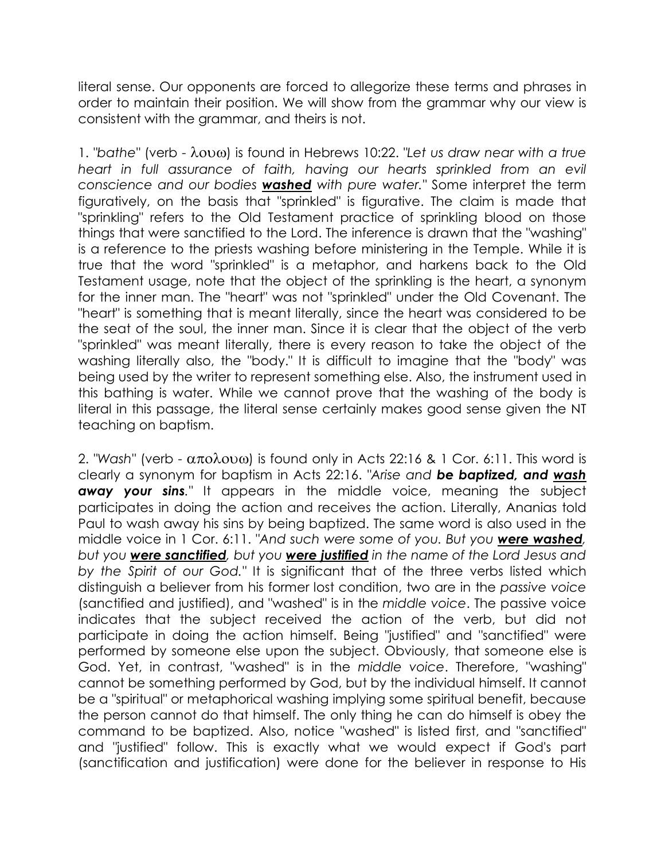literal sense. Our opponents are forced to allegorize these terms and phrases in order to maintain their position. We will show from the grammar why our view is consistent with the grammar, and theirs is not.

1. "bathe" (verb - λουω) is found in Hebrews 10:22. "Let us draw near with a true heart in full assurance of faith, having our hearts sprinkled from an evil conscience and our bodies **washed** with pure water." Some interpret the term figuratively, on the basis that "sprinkled" is figurative. The claim is made that "sprinkling" refers to the Old Testament practice of sprinkling blood on those things that were sanctified to the Lord. The inference is drawn that the "washing" is a reference to the priests washing before ministering in the Temple. While it is true that the word "sprinkled" is a metaphor, and harkens back to the Old Testament usage, note that the object of the sprinkling is the heart, a synonym for the inner man. The "heart" was not "sprinkled" under the Old Covenant. The "heart" is something that is meant literally, since the heart was considered to be the seat of the soul, the inner man. Since it is clear that the object of the verb "sprinkled" was meant literally, there is every reason to take the object of the washing literally also, the "body." It is difficult to imagine that the "body" was being used by the writer to represent something else. Also, the instrument used in this bathing is water. While we cannot prove that the washing of the body is literal in this passage, the literal sense certainly makes good sense given the NT teaching on baptism.

2. "Wash" (verb -  $\alpha \pi \alpha \lambda \alpha \omega$ ) is found only in Acts 22:16 & 1 Cor. 6:11. This word is clearly a synonym for baptism in Acts 22:16. "Arise and be baptized, and wash away your sins." It appears in the middle voice, meaning the subject participates in doing the action and receives the action. Literally, Ananias told Paul to wash away his sins by being baptized. The same word is also used in the middle voice in 1 Cor. 6:11. "And such were some of you. But you were washed, but you were sanctified, but you were justified in the name of the Lord Jesus and by the Spirit of our God." It is significant that of the three verbs listed which distinguish a believer from his former lost condition, two are in the passive voice (sanctified and justified), and "washed" is in the middle voice. The passive voice indicates that the subject received the action of the verb, but did not participate in doing the action himself. Being "justified" and "sanctified" were performed by someone else upon the subject. Obviously, that someone else is God. Yet, in contrast, "washed" is in the middle voice. Therefore, "washing" cannot be something performed by God, but by the individual himself. It cannot be a "spiritual" or metaphorical washing implying some spiritual benefit, because the person cannot do that himself. The only thing he can do himself is obey the command to be baptized. Also, notice "washed" is listed first, and "sanctified" and "justified" follow. This is exactly what we would expect if God's part (sanctification and justification) were done for the believer in response to His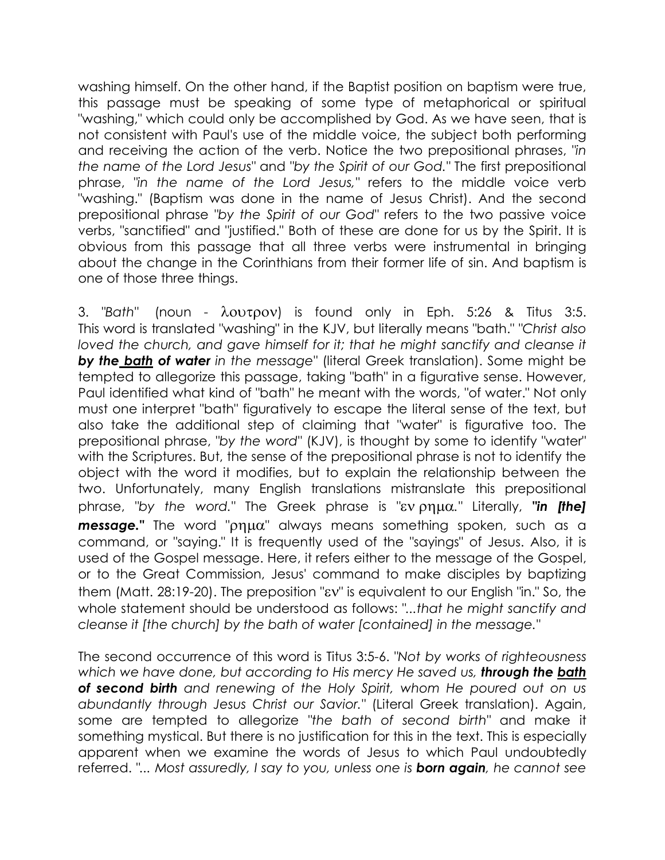washing himself. On the other hand, if the Baptist position on baptism were true, this passage must be speaking of some type of metaphorical or spiritual "washing," which could only be accomplished by God. As we have seen, that is not consistent with Paul's use of the middle voice, the subject both performing and receiving the action of the verb. Notice the two prepositional phrases, "in the name of the Lord Jesus" and "by the Spirit of our God." The first prepositional phrase, "in the name of the Lord Jesus," refers to the middle voice verb "washing." (Baptism was done in the name of Jesus Christ). And the second prepositional phrase "by the Spirit of our God" refers to the two passive voice verbs, "sanctified" and "justified." Both of these are done for us by the Spirit. It is obvious from this passage that all three verbs were instrumental in bringing about the change in the Corinthians from their former life of sin. And baptism is one of those three things.

3. "Bath" (noun - λουτρον) is found only in Eph. 5:26 & Titus 3:5. This word is translated "washing" in the KJV, but literally means "bath." "Christ also loved the church, and gave himself for it; that he might sanctify and cleanse it by the bath of water in the message" (literal Greek translation). Some might be tempted to allegorize this passage, taking "bath" in a figurative sense. However, Paul identified what kind of "bath" he meant with the words, "of water." Not only must one interpret "bath" figuratively to escape the literal sense of the text, but also take the additional step of claiming that "water" is figurative too. The prepositional phrase, "by the word" (KJV), is thought by some to identify "water" with the Scriptures. But, the sense of the prepositional phrase is not to identify the object with the word it modifies, but to explain the relationship between the two. Unfortunately, many English translations mistranslate this prepositional phrase, "by the word." The Greek phrase is "εν ρημα." Literally, "in [the] message." The word "ρημα" always means something spoken, such as a command, or "saying." It is frequently used of the "sayings" of Jesus. Also, it is used of the Gospel message. Here, it refers either to the message of the Gospel, or to the Great Commission, Jesus' command to make disciples by baptizing them (Matt. 28:19-20). The preposition "εν" is equivalent to our English "in." So, the whole statement should be understood as follows: "...that he might sanctify and cleanse it [the church] by the bath of water [contained] in the message."

The second occurrence of this word is Titus 3:5-6. "Not by works of righteousness which we have done, but according to His mercy He saved us, **through the bath** of second birth and renewing of the Holy Spirit, whom He poured out on us abundantly through Jesus Christ our Savior." (Literal Greek translation). Again, some are tempted to allegorize "the bath of second birth" and make it something mystical. But there is no justification for this in the text. This is especially apparent when we examine the words of Jesus to which Paul undoubtedly referred. "... Most assuredly, I say to you, unless one is **born again**, he cannot see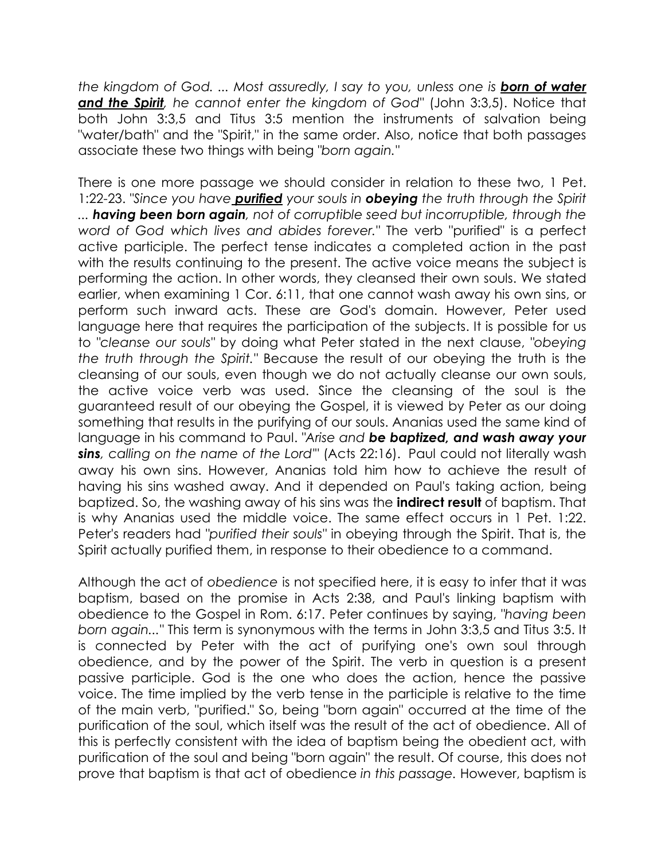the kingdom of God. ... Most assuredly, I say to you, unless one is **born of water** and the Spirit, he cannot enter the kingdom of God" (John 3:3,5). Notice that both John 3:3,5 and Titus 3:5 mention the instruments of salvation being "water/bath" and the "Spirit," in the same order. Also, notice that both passages associate these two things with being "born again."

There is one more passage we should consider in relation to these two, 1 Pet. 1:22-23. "Since you have **purified** your souls in **obeying** the truth through the Spirit ... having been born again, not of corruptible seed but incorruptible, through the word of God which lives and abides forever." The verb "purified" is a perfect active participle. The perfect tense indicates a completed action in the past with the results continuing to the present. The active voice means the subject is performing the action. In other words, they cleansed their own souls. We stated earlier, when examining 1 Cor. 6:11, that one cannot wash away his own sins, or perform such inward acts. These are God's domain. However, Peter used language here that requires the participation of the subjects. It is possible for us to "cleanse our souls" by doing what Peter stated in the next clause, "obeying the truth through the Spirit." Because the result of our obeying the truth is the cleansing of our souls, even though we do not actually cleanse our own souls, the active voice verb was used. Since the cleansing of the soul is the guaranteed result of our obeying the Gospel, it is viewed by Peter as our doing something that results in the purifying of our souls. Ananias used the same kind of language in his command to Paul. "Arise and be baptized, and wash away your sins, calling on the name of the Lord"' (Acts 22:16). Paul could not literally wash away his own sins. However, Ananias told him how to achieve the result of having his sins washed away. And it depended on Paul's taking action, being baptized. So, the washing away of his sins was the **indirect result** of baptism. That is why Ananias used the middle voice. The same effect occurs in 1 Pet. 1:22. Peter's readers had "purified their souls" in obeying through the Spirit. That is, the Spirit actually purified them, in response to their obedience to a command.

Although the act of obedience is not specified here, it is easy to infer that it was baptism, based on the promise in Acts 2:38, and Paul's linking baptism with obedience to the Gospel in Rom. 6:17. Peter continues by saying, "having been born again..." This term is synonymous with the terms in John 3:3,5 and Titus 3:5. It is connected by Peter with the act of purifying one's own soul through obedience, and by the power of the Spirit. The verb in question is a present passive participle. God is the one who does the action, hence the passive voice. The time implied by the verb tense in the participle is relative to the time of the main verb, "purified." So, being "born again" occurred at the time of the purification of the soul, which itself was the result of the act of obedience. All of this is perfectly consistent with the idea of baptism being the obedient act, with purification of the soul and being "born again" the result. Of course, this does not prove that baptism is that act of obedience in this passage. However, baptism is